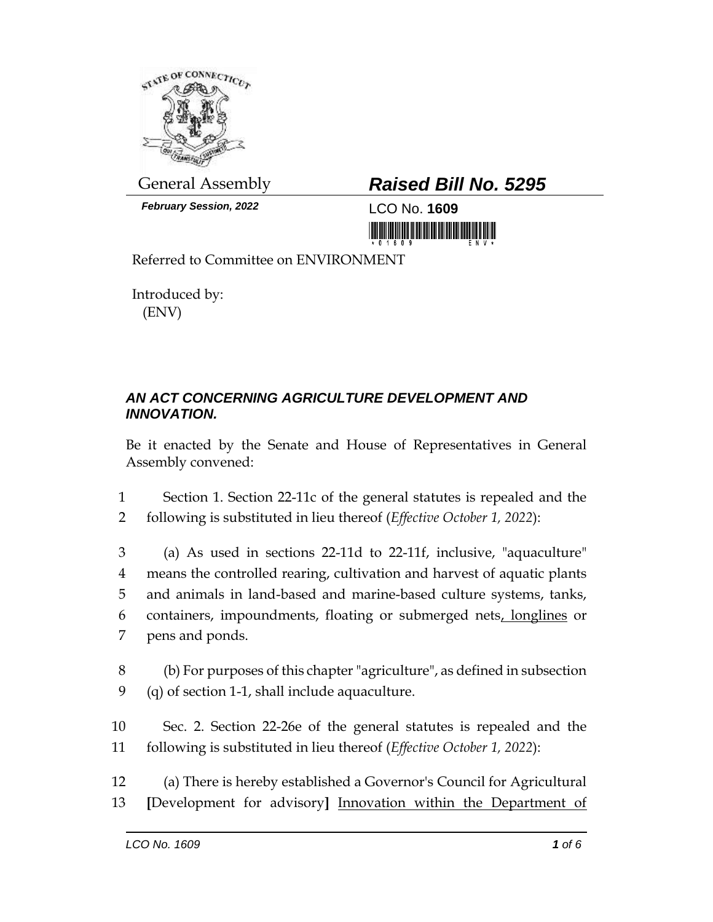

*February Session, 2022* LCO No. **1609**

## General Assembly *Raised Bill No. 5295*

<u> III di kacamatan ing Kabupatèn III di kacamatan III di kacamatan III di kacamatan III di kacamatan III di kacamatan III di kacamatan III di kacamatan III di kacamatan III di kacamatan III di kacamatan III di kacamatan II</u>

Referred to Committee on ENVIRONMENT

Introduced by: (ENV)

## *AN ACT CONCERNING AGRICULTURE DEVELOPMENT AND INNOVATION.*

Be it enacted by the Senate and House of Representatives in General Assembly convened:

1 Section 1. Section 22-11c of the general statutes is repealed and the 2 following is substituted in lieu thereof (*Effective October 1, 2022*):

 (a) As used in sections 22-11d to 22-11f, inclusive, "aquaculture" means the controlled rearing, cultivation and harvest of aquatic plants and animals in land-based and marine-based culture systems, tanks, containers, impoundments, floating or submerged nets, longlines or pens and ponds.

8 (b) For purposes of this chapter "agriculture", as defined in subsection 9 (q) of section 1-1, shall include aquaculture.

10 Sec. 2. Section 22-26e of the general statutes is repealed and the 11 following is substituted in lieu thereof (*Effective October 1, 2022*):

12 (a) There is hereby established a Governor's Council for Agricultural 13 **[**Development for advisory**]** Innovation within the Department of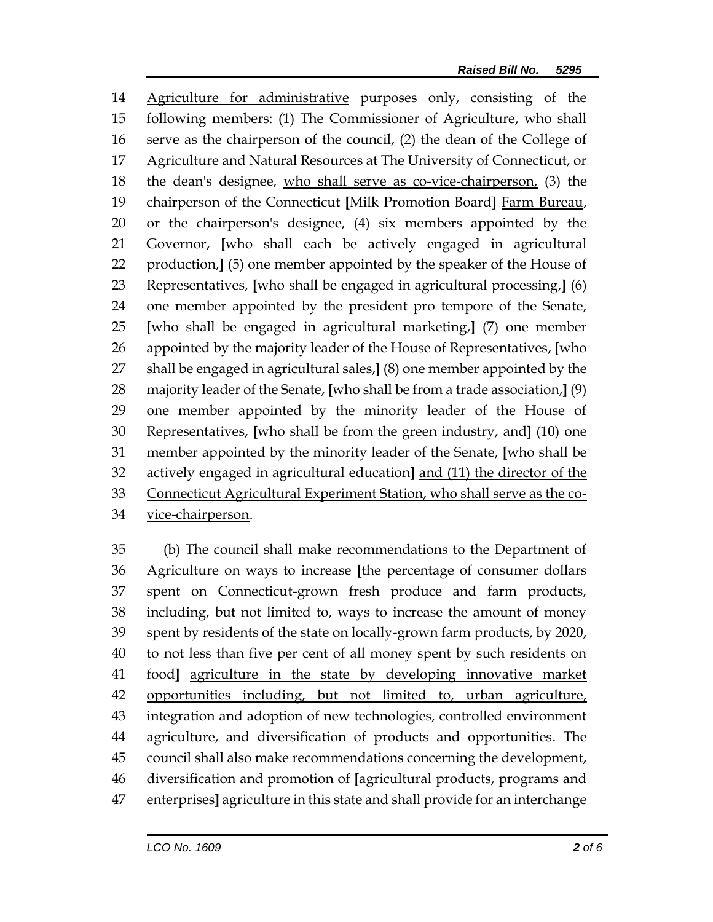Agriculture for administrative purposes only, consisting of the following members: (1) The Commissioner of Agriculture, who shall serve as the chairperson of the council, (2) the dean of the College of Agriculture and Natural Resources at The University of Connecticut, or the dean's designee, who shall serve as co-vice-chairperson, (3) the chairperson of the Connecticut **[**Milk Promotion Board**]** Farm Bureau, or the chairperson's designee, (4) six members appointed by the Governor, **[**who shall each be actively engaged in agricultural production,**]** (5) one member appointed by the speaker of the House of Representatives, **[**who shall be engaged in agricultural processing,**]** (6) one member appointed by the president pro tempore of the Senate, **[**who shall be engaged in agricultural marketing,**]** (7) one member appointed by the majority leader of the House of Representatives, **[**who shall be engaged in agricultural sales,**]** (8) one member appointed by the majority leader of the Senate, **[**who shall be from a trade association,**]** (9) one member appointed by the minority leader of the House of Representatives, **[**who shall be from the green industry, and**]** (10) one member appointed by the minority leader of the Senate, **[**who shall be actively engaged in agricultural education**]** and (11) the director of the Connecticut Agricultural Experiment Station, who shall serve as the co-vice-chairperson.

 (b) The council shall make recommendations to the Department of Agriculture on ways to increase **[**the percentage of consumer dollars spent on Connecticut-grown fresh produce and farm products, including, but not limited to, ways to increase the amount of money spent by residents of the state on locally-grown farm products, by 2020, to not less than five per cent of all money spent by such residents on food**]** agriculture in the state by developing innovative market opportunities including, but not limited to, urban agriculture, 43 integration and adoption of new technologies, controlled environment agriculture, and diversification of products and opportunities. The council shall also make recommendations concerning the development, diversification and promotion of **[**agricultural products, programs and enterprises**]** agriculture in this state and shall provide for an interchange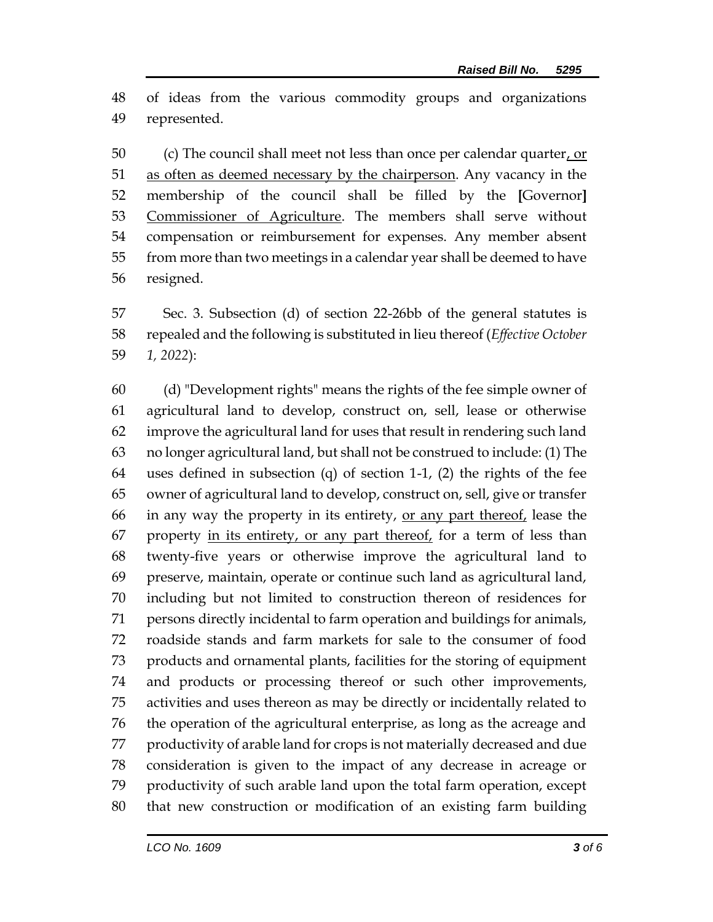of ideas from the various commodity groups and organizations represented.

 (c) The council shall meet not less than once per calendar quarter, or 51 as often as deemed necessary by the chairperson. Any vacancy in the membership of the council shall be filled by the **[**Governor**]** 53 Commissioner of Agriculture. The members shall serve without compensation or reimbursement for expenses. Any member absent from more than two meetings in a calendar year shall be deemed to have resigned.

 Sec. 3. Subsection (d) of section 22-26bb of the general statutes is repealed and the following is substituted in lieu thereof (*Effective October 1, 2022*):

 (d) "Development rights" means the rights of the fee simple owner of agricultural land to develop, construct on, sell, lease or otherwise improve the agricultural land for uses that result in rendering such land no longer agricultural land, but shall not be construed to include: (1) The uses defined in subsection (q) of section 1-1, (2) the rights of the fee owner of agricultural land to develop, construct on, sell, give or transfer 66 in any way the property in its entirety, or any part thereof, lease the 67 property in its entirety, or any part thereof, for a term of less than twenty-five years or otherwise improve the agricultural land to preserve, maintain, operate or continue such land as agricultural land, including but not limited to construction thereon of residences for persons directly incidental to farm operation and buildings for animals, roadside stands and farm markets for sale to the consumer of food products and ornamental plants, facilities for the storing of equipment and products or processing thereof or such other improvements, activities and uses thereon as may be directly or incidentally related to the operation of the agricultural enterprise, as long as the acreage and productivity of arable land for crops is not materially decreased and due consideration is given to the impact of any decrease in acreage or productivity of such arable land upon the total farm operation, except that new construction or modification of an existing farm building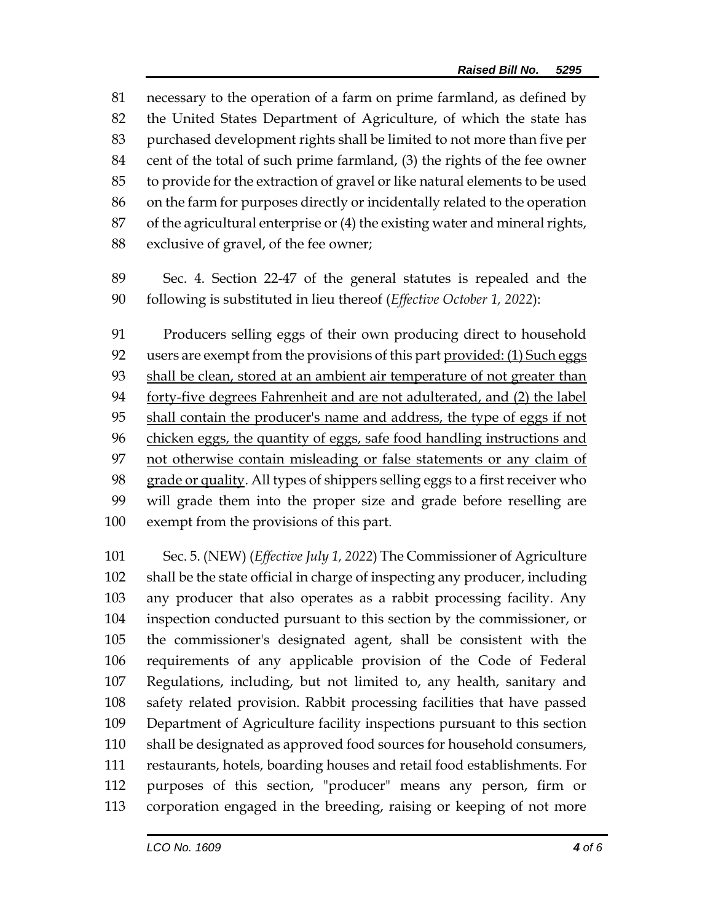necessary to the operation of a farm on prime farmland, as defined by the United States Department of Agriculture, of which the state has purchased development rights shall be limited to not more than five per cent of the total of such prime farmland, (3) the rights of the fee owner to provide for the extraction of gravel or like natural elements to be used on the farm for purposes directly or incidentally related to the operation of the agricultural enterprise or (4) the existing water and mineral rights, exclusive of gravel, of the fee owner;

 Sec. 4. Section 22-47 of the general statutes is repealed and the following is substituted in lieu thereof (*Effective October 1, 2022*):

 Producers selling eggs of their own producing direct to household users are exempt from the provisions of this part provided: (1) Such eggs shall be clean, stored at an ambient air temperature of not greater than forty-five degrees Fahrenheit and are not adulterated, and (2) the label shall contain the producer's name and address, the type of eggs if not chicken eggs, the quantity of eggs, safe food handling instructions and 97 not otherwise contain misleading or false statements or any claim of grade or quality. All types of shippers selling eggs to a first receiver who will grade them into the proper size and grade before reselling are exempt from the provisions of this part.

 Sec. 5. (NEW) (*Effective July 1, 2022*) The Commissioner of Agriculture shall be the state official in charge of inspecting any producer, including any producer that also operates as a rabbit processing facility. Any inspection conducted pursuant to this section by the commissioner, or the commissioner's designated agent, shall be consistent with the requirements of any applicable provision of the Code of Federal Regulations, including, but not limited to, any health, sanitary and safety related provision. Rabbit processing facilities that have passed Department of Agriculture facility inspections pursuant to this section shall be designated as approved food sources for household consumers, restaurants, hotels, boarding houses and retail food establishments. For purposes of this section, "producer" means any person, firm or corporation engaged in the breeding, raising or keeping of not more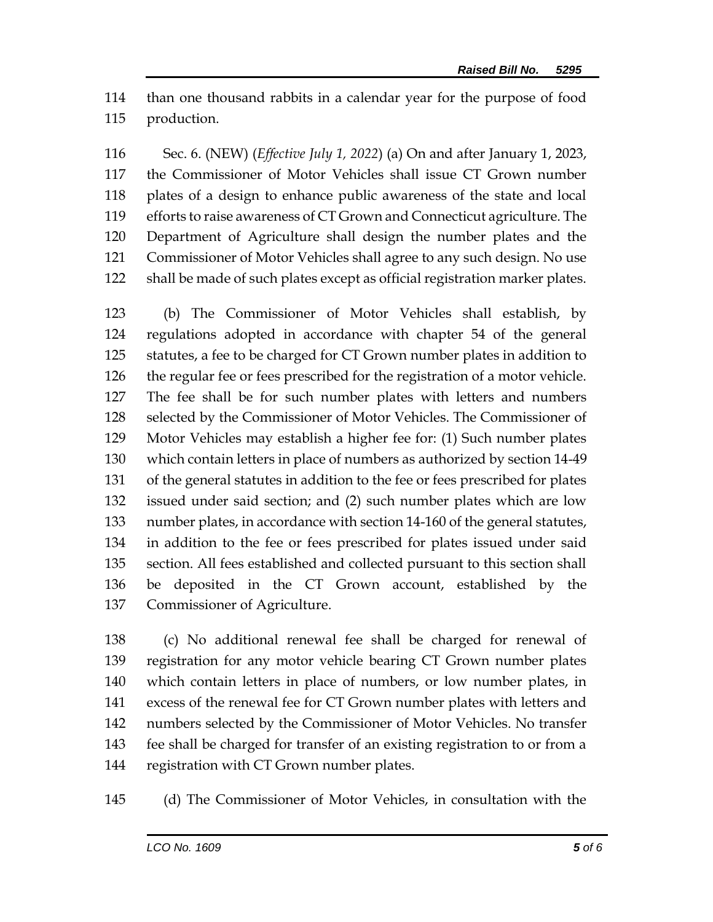than one thousand rabbits in a calendar year for the purpose of food production.

 Sec. 6. (NEW) (*Effective July 1, 2022*) (a) On and after January 1, 2023, the Commissioner of Motor Vehicles shall issue CT Grown number plates of a design to enhance public awareness of the state and local efforts to raise awareness of CT Grown and Connecticut agriculture. The Department of Agriculture shall design the number plates and the Commissioner of Motor Vehicles shall agree to any such design. No use shall be made of such plates except as official registration marker plates.

 (b) The Commissioner of Motor Vehicles shall establish, by regulations adopted in accordance with chapter 54 of the general statutes, a fee to be charged for CT Grown number plates in addition to the regular fee or fees prescribed for the registration of a motor vehicle. The fee shall be for such number plates with letters and numbers selected by the Commissioner of Motor Vehicles. The Commissioner of Motor Vehicles may establish a higher fee for: (1) Such number plates which contain letters in place of numbers as authorized by section 14-49 of the general statutes in addition to the fee or fees prescribed for plates issued under said section; and (2) such number plates which are low number plates, in accordance with section 14-160 of the general statutes, in addition to the fee or fees prescribed for plates issued under said section. All fees established and collected pursuant to this section shall be deposited in the CT Grown account, established by the Commissioner of Agriculture.

 (c) No additional renewal fee shall be charged for renewal of registration for any motor vehicle bearing CT Grown number plates which contain letters in place of numbers, or low number plates, in excess of the renewal fee for CT Grown number plates with letters and numbers selected by the Commissioner of Motor Vehicles. No transfer fee shall be charged for transfer of an existing registration to or from a registration with CT Grown number plates.

(d) The Commissioner of Motor Vehicles, in consultation with the